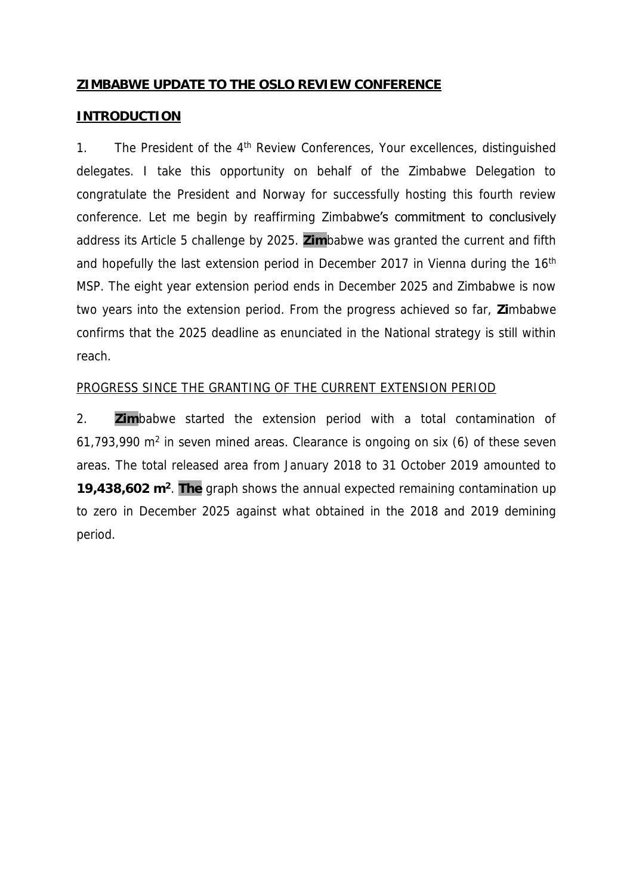#### **ZIMBABWE UPDATE TO THE OSLO REVIEW CONFERENCE**

#### **INTRODUCTION**

1. The President of the 4<sup>th</sup> Review Conferences, Your excellences, distinguished delegates. I take this opportunity on behalf of the Zimbabwe Delegation to congratulate the President and Norway for successfully hosting this fourth review conference. Let me begin by reaffirming Zimbabwe's commitment to conclusively address its Article 5 challenge by 2025. **Zim**babwe was granted the current and fifth and hopefully the last extension period in December 2017 in Vienna during the 16<sup>th</sup> MSP. The eight year extension period ends in December 2025 and Zimbabwe is now two years into the extension period. From the progress achieved so far, **Zi**mbabwe confirms that the 2025 deadline as enunciated in the National strategy is still within reach.

#### PROGRESS SINCE THE GRANTING OF THE CURRENT EXTENSION PERIOD

2. **Zim**babwe started the extension period with a total contamination of  $61,793,990$  m<sup>2</sup> in seven mined areas. Clearance is ongoing on six  $(6)$  of these seven areas. The total released area from January 2018 to 31 October 2019 amounted to **19,438,602 m<sup>2</sup>** . **The** graph shows the annual expected remaining contamination up to zero in December 2025 against what obtained in the 2018 and 2019 demining period.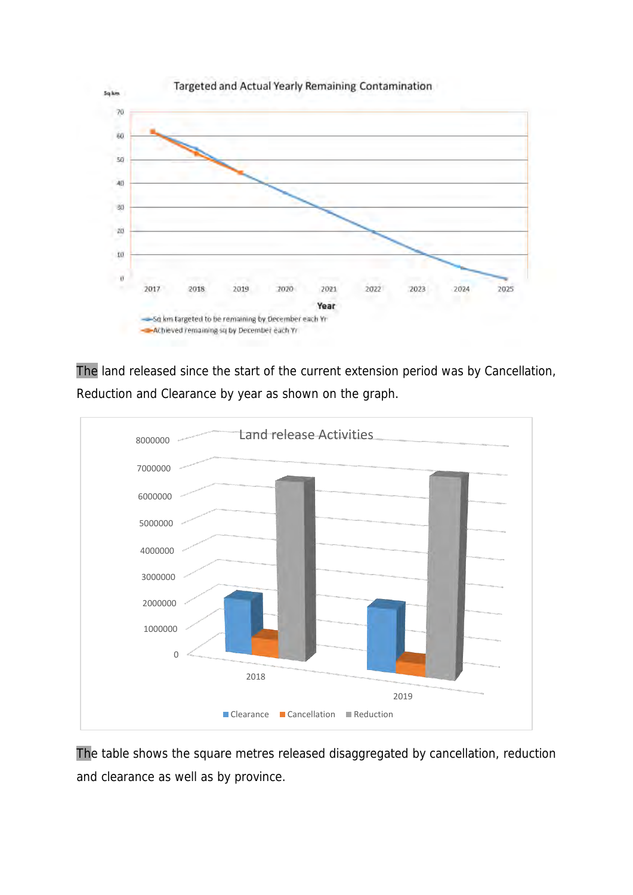

The land released since the start of the current extension period was by Cancellation, Reduction and Clearance by year as shown on the graph.



The table shows the square metres released disaggregated by cancellation, reduction and clearance as well as by province.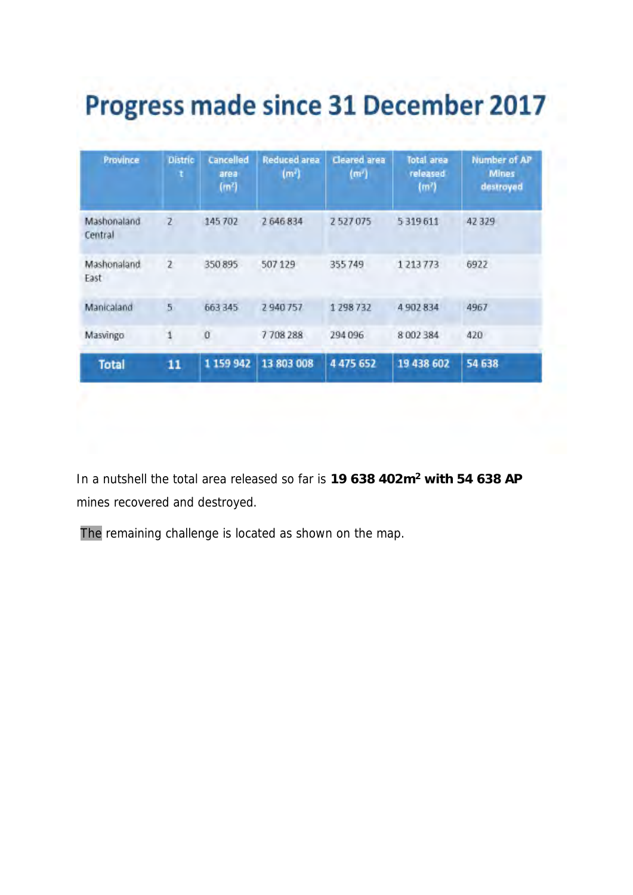# **Progress made since 31 December 2017**

| Province               | Distric<br>t   | Cancelled<br>area<br>(m <sup>2</sup> ) | <b>Reduced area</b><br>(m <sup>2</sup> ) | Cleared area<br>(m') | <b>Total area</b><br>released<br>(m <sup>7</sup> ) | <b>Number of AP</b><br><b>Mines</b><br>destroyed |
|------------------------|----------------|----------------------------------------|------------------------------------------|----------------------|----------------------------------------------------|--------------------------------------------------|
| Mashonaland<br>Central | $\overline{z}$ | 145 702                                | 2 646 834                                | 2527075              | 5319611                                            | 42329                                            |
| Mashonaland<br>East    | $\overline{z}$ | 350 895                                | 507129                                   | 355749               | 1 2 1 3 7 7 3                                      | 6922                                             |
| Manicaland             | $\overline{5}$ | 663 345                                | 2940757                                  | 1298732              | 4 902 834                                          | 4967                                             |
| Masvingo               | 1              | Ŭ                                      | 7708288                                  | 294 096              | 8002384                                            | 420                                              |
| <b>Total</b>           | 11             | 1 159 942                              | 13 803 008                               | 4 475 652            | 19 438 602                                         | 54 638                                           |

In a nutshell the total area released so far is **19 638 402m<sup>2</sup> with 54 638 AP** mines recovered and destroyed.

The remaining challenge is located as shown on the map.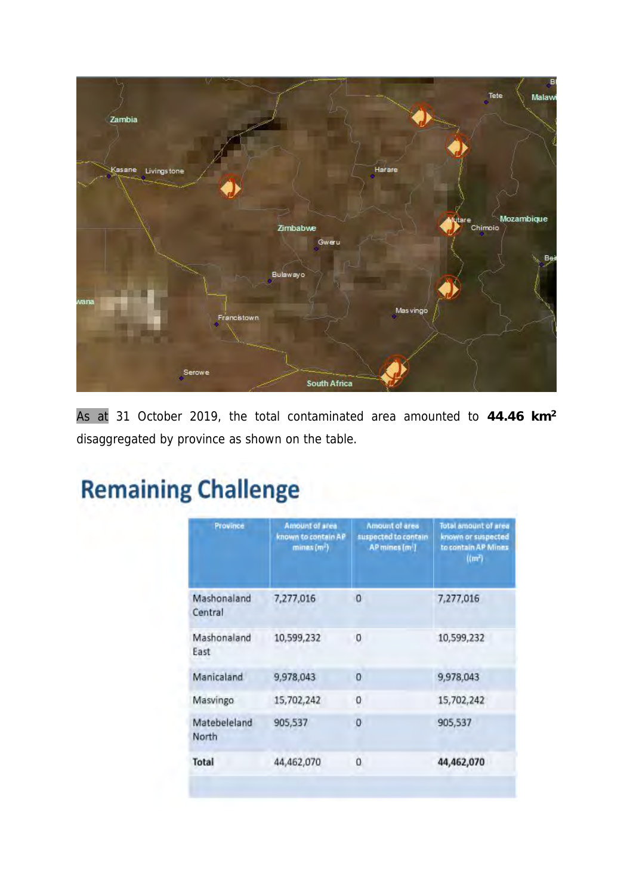

As at 31 October 2019, the total contaminated area amounted to **44.46 km<sup>2</sup>** disaggregated by province as shown on the table.

## **Remaining Challenge**

| Province               | <b>Amount of area</b><br>known to contain AP<br>minex(m <sub>1</sub> ) | Amount of area<br>suspected to contain<br>AP mines (m <sup>2</sup> ) | Total amount of area<br>known or suspected<br>to contain AP Mines<br>(m <sup>2</sup> ) |
|------------------------|------------------------------------------------------------------------|----------------------------------------------------------------------|----------------------------------------------------------------------------------------|
| Mashonaland<br>Central | 7,277,016                                                              | 0                                                                    | 7,277,016                                                                              |
| Mashonaland<br>East    | 10,599,232                                                             | 0                                                                    | 10,599,232                                                                             |
| Manicaland             | 9,978,043                                                              | 0                                                                    | 9,978,043                                                                              |
| Masvingo               | 15,702,242                                                             | 0                                                                    | 15,702,242                                                                             |
| Matebeleland<br>North  | 905,537                                                                | O                                                                    | 905,537                                                                                |
| Total                  | 44,462,070                                                             | $\mathbf 0$                                                          | 44,462,070                                                                             |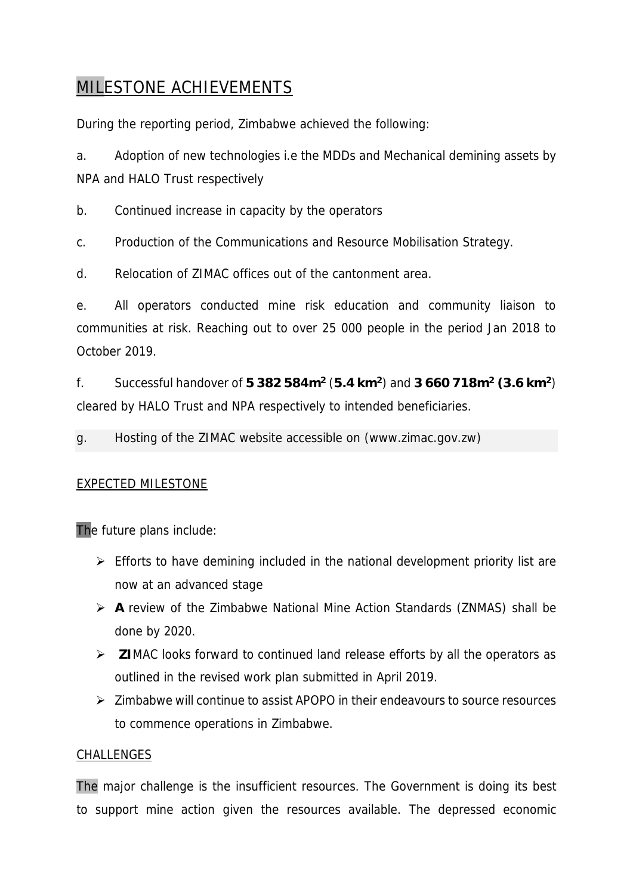### MILESTONE ACHIEVEMENTS

During the reporting period, Zimbabwe achieved the following:

a. Adoption of new technologies i.e the MDDs and Mechanical demining assets by NPA and HALO Trust respectively

b. Continued increase in capacity by the operators

c. Production of the Communications and Resource Mobilisation Strategy.

d. Relocation of ZIMAC offices out of the cantonment area.

e. All operators conducted mine risk education and community liaison to communities at risk. Reaching out to over 25 000 people in the period Jan 2018 to October 2019.

f. Successful handover of **5 382 584m<sup>2</sup>** (**5.4 km<sup>2</sup>** ) and **3 660 718m<sup>2</sup> (3.6 km<sup>2</sup>** ) cleared by HALO Trust and NPA respectively to intended beneficiaries.

g. Hosting of the ZIMAC website accessible on (www.zimac.gov.zw)

#### EXPECTED MILESTONE

The future plans include:

- ➢ Efforts to have demining included in the national development priority list are now at an advanced stage
- ➢ **A** review of the Zimbabwe National Mine Action Standards (ZNMAS) shall be done by 2020.
- ➢ **ZI**MAC looks forward to continued land release efforts by all the operators as outlined in the revised work plan submitted in April 2019.
- ➢ Zimbabwe will continue to assist APOPO in their endeavours to source resources to commence operations in Zimbabwe.

#### CHALLENGES

The major challenge is the insufficient resources. The Government is doing its best to support mine action given the resources available. The depressed economic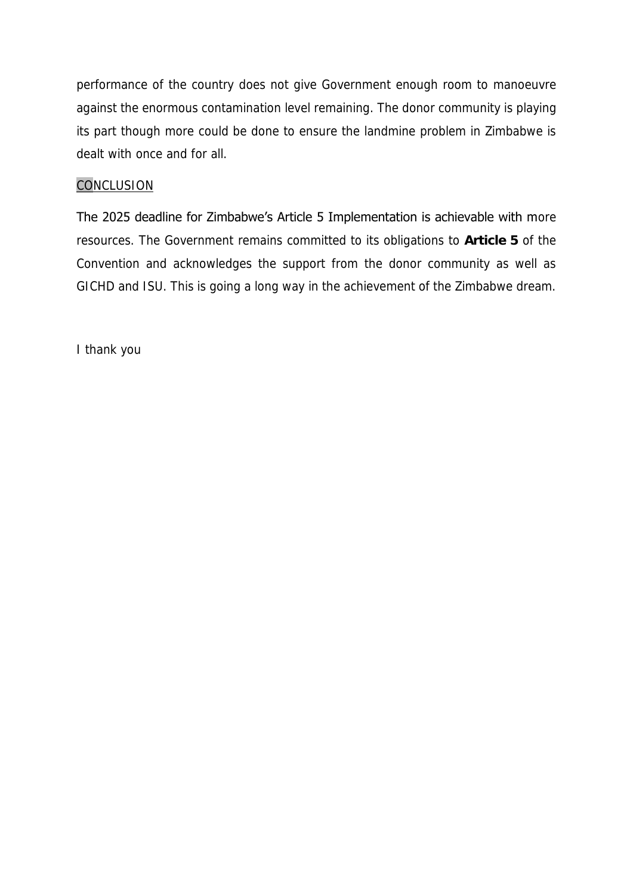performance of the country does not give Government enough room to manoeuvre against the enormous contamination level remaining. The donor community is playing its part though more could be done to ensure the landmine problem in Zimbabwe is dealt with once and for all.

#### **CONCLUSION**

The 2025 deadline for Zimbabwe's Article 5 Implementation is achievable with more resources. The Government remains committed to its obligations to **Article 5** of the Convention and acknowledges the support from the donor community as well as GICHD and ISU. This is going a long way in the achievement of the Zimbabwe dream.

I thank you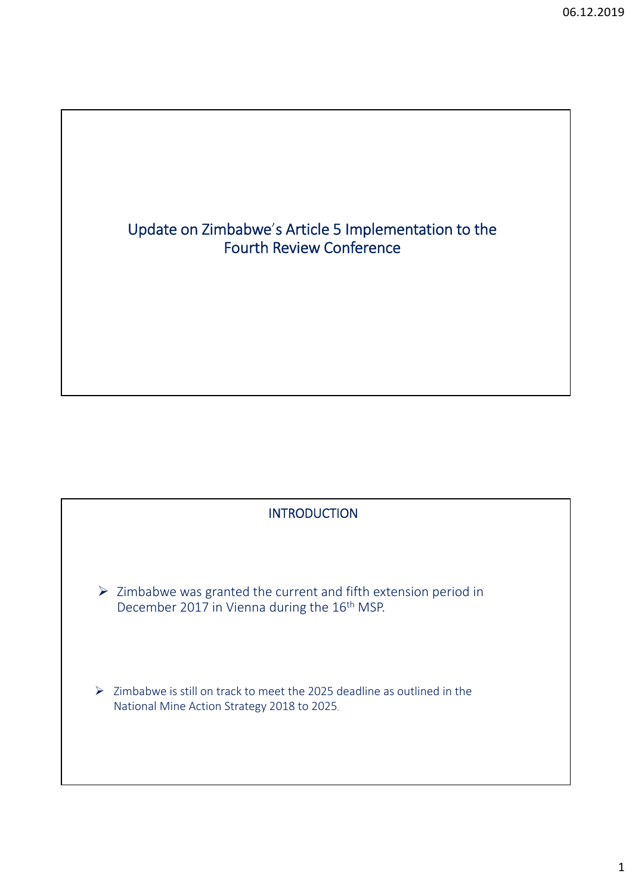

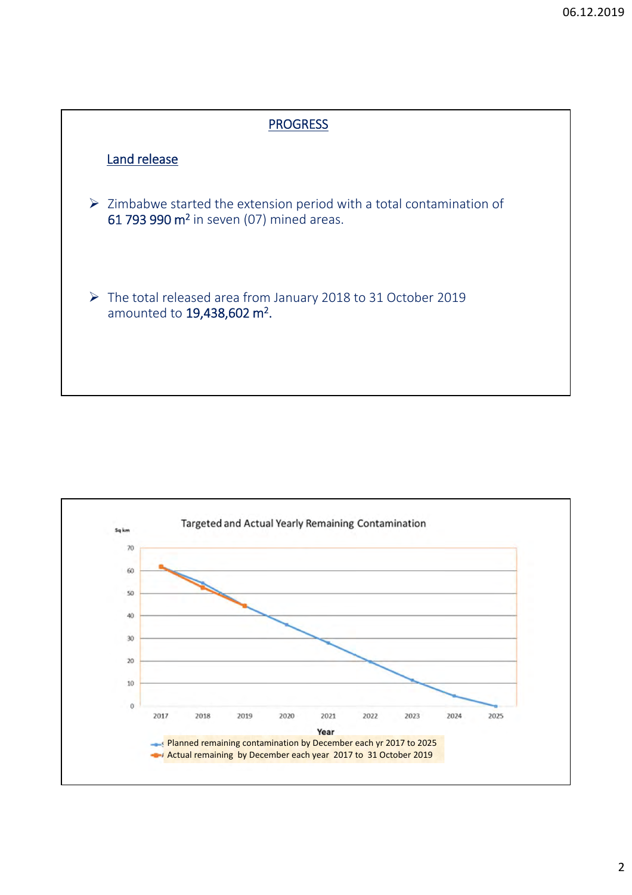

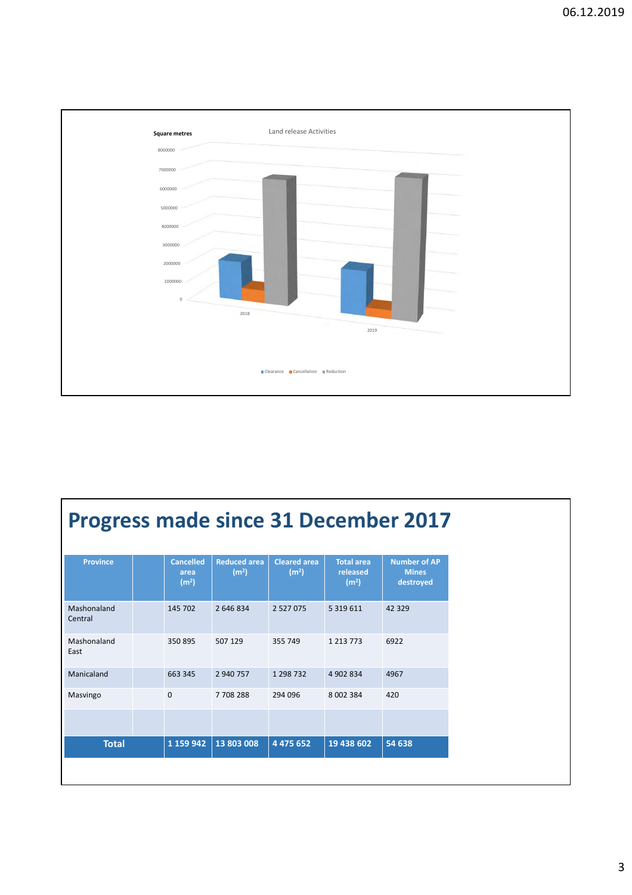

## **Progress made since 31 December 2017**

| <b>Province</b>        | <b>Cancelled</b><br>area<br>(m <sup>2</sup> ) | <b>Reduced area</b><br>(m <sup>2</sup> ) | <b>Cleared area</b><br>(m <sup>2</sup> ) | <b>Total area</b><br>released<br>(m <sup>2</sup> ) | <b>Number of AP</b><br><b>Mines</b><br>destroyed |
|------------------------|-----------------------------------------------|------------------------------------------|------------------------------------------|----------------------------------------------------|--------------------------------------------------|
| Mashonaland<br>Central | 145 702                                       | 2 646 834                                | 2 5 2 7 0 7 5                            | 5 3 1 9 6 1 1                                      | 42 3 29                                          |
| Mashonaland<br>East    | 350 895                                       | 507 129                                  | 355 749                                  | 1 2 1 3 7 7 3                                      | 6922                                             |
| Manicaland             | 663 345                                       | 2 940 757                                | 1 298 732                                | 4 902 834                                          | 4967                                             |
| Masvingo               | 0                                             | 7708288                                  | 294 096                                  | 8 002 384                                          | 420                                              |
|                        |                                               |                                          |                                          |                                                    |                                                  |
| <b>Total</b>           | 1 159 942                                     | 13 803 008                               | 4 4 7 5 6 5 2                            | 19 438 602                                         | 54 638                                           |
|                        |                                               |                                          |                                          |                                                    |                                                  |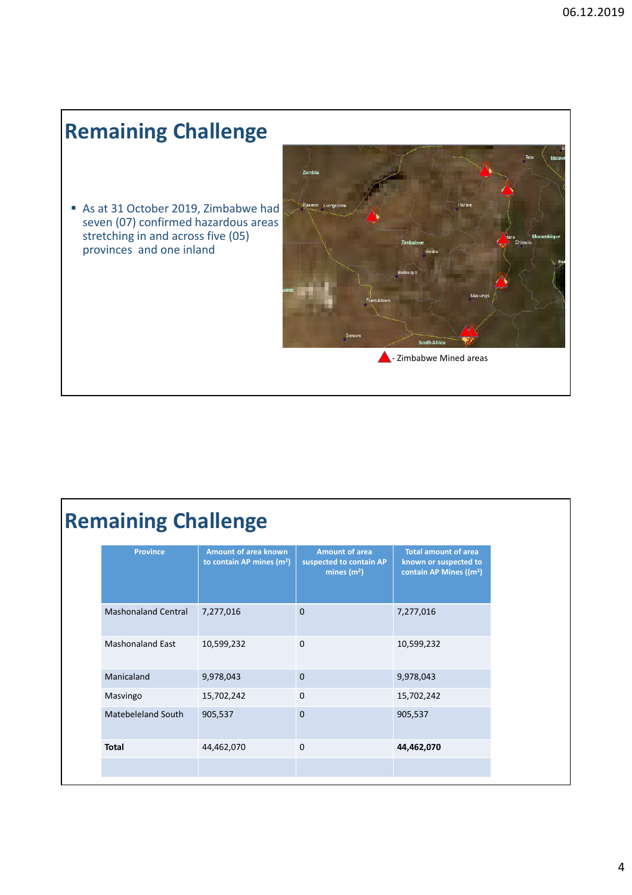## **Remaining Challenge**

As at 31 October 2019, Zimbabwe had seven (07) confirmed hazardous areas stretching in and across five (05) provinces and one inland



## **Remaining Challenge**

| <b>Province</b>            | <b>Amount of area known</b><br>to contain AP mines $(m2)$ | <b>Amount of area</b><br>suspected to contain AP<br>mines $(m2)$ | <b>Total amount of area</b><br>known or suspected to<br>contain AP Mines ((m <sup>2</sup> ) |
|----------------------------|-----------------------------------------------------------|------------------------------------------------------------------|---------------------------------------------------------------------------------------------|
| <b>Mashonaland Central</b> | 7,277,016                                                 | $\Omega$                                                         | 7,277,016                                                                                   |
| <b>Mashonaland East</b>    | 10,599,232                                                | $\mathbf{0}$                                                     | 10,599,232                                                                                  |
| Manicaland                 | 9,978,043                                                 | $\mathbf{0}$                                                     | 9,978,043                                                                                   |
| Masvingo                   | 15,702,242                                                | $\Omega$                                                         | 15,702,242                                                                                  |
| Matebeleland South         | 905,537                                                   | $\Omega$                                                         | 905,537                                                                                     |
| <b>Total</b>               | 44,462,070                                                | $\Omega$                                                         | 44,462,070                                                                                  |
|                            |                                                           |                                                                  |                                                                                             |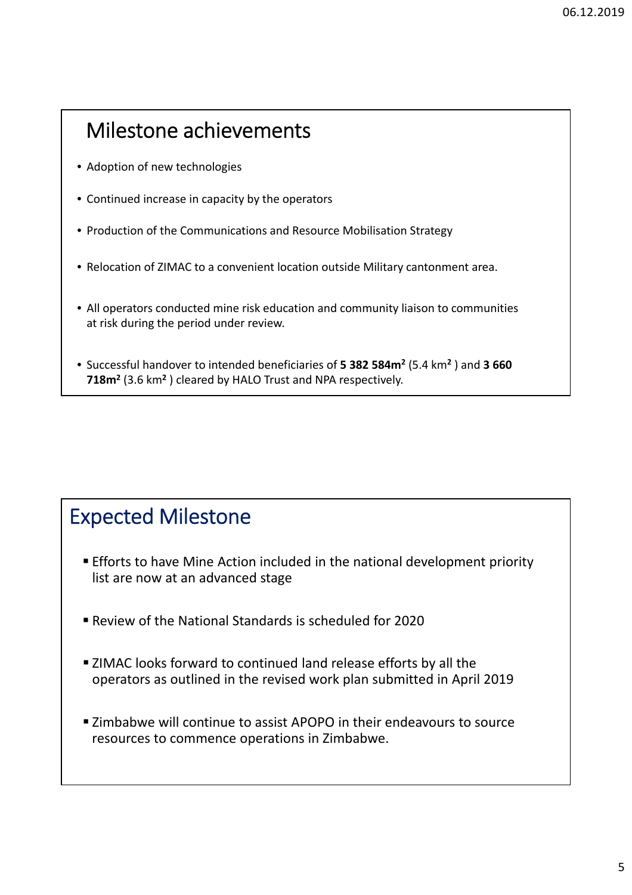### Milestone achievements

- Adoption of new technologies
- Continued increase in capacity by the operators
- Production of the Communications and Resource Mobilisation Strategy
- Relocation of ZIMAC to a convenient location outside Military cantonment area.
- All operators conducted mine risk education and community liaison to communities at risk during the period under review.
- Successful handover to intended beneficiaries of **5 382 584m2** (5.4 km**<sup>2</sup>** ) and **3 660 718m2** (3.6 km**<sup>2</sup>** ) cleared by HALO Trust and NPA respectively.

### Expected Milestone

- **Efforts to have Mine Action included in the national development priority** list are now at an advanced stage
- Review of the National Standards is scheduled for 2020
- **EXTERS** 21MAC looks forward to continued land release efforts by all the operators as outlined in the revised work plan submitted in April 2019
- **EXA** Zimbabwe will continue to assist APOPO in their endeavours to source resources to commence operations in Zimbabwe.